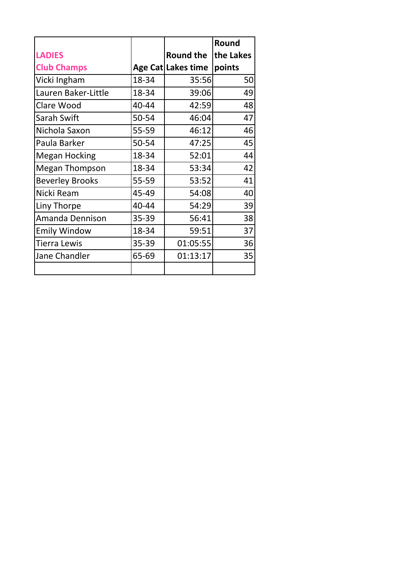|                        |       |                    | Round     |
|------------------------|-------|--------------------|-----------|
| <b>LADIES</b>          |       | <b>Round the</b>   | the Lakes |
| <b>Club Champs</b>     |       | Age Cat Lakes time | points    |
| Vicki Ingham           | 18-34 | 35:56              | 50        |
| Lauren Baker-Little    | 18-34 | 39:06              | 49        |
| Clare Wood             | 40-44 | 42:59              | 48        |
| Sarah Swift            | 50-54 | 46:04              | 47        |
| Nichola Saxon          | 55-59 | 46:12              | 46        |
| Paula Barker           | 50-54 | 47:25              | 45        |
| <b>Megan Hocking</b>   | 18-34 | 52:01              | 44        |
| <b>Megan Thompson</b>  | 18-34 | 53:34              | 42        |
| <b>Beverley Brooks</b> | 55-59 | 53:52              | 41        |
| Nicki Ream             | 45-49 | 54:08              | 40        |
| Liny Thorpe            | 40-44 | 54:29              | 39        |
| Amanda Dennison        | 35-39 | 56:41              | 38        |
| <b>Emily Window</b>    | 18-34 | 59:51              | 37        |
| <b>Tierra Lewis</b>    | 35-39 | 01:05:55           | 36        |
| Jane Chandler          | 65-69 | 01:13:17           | 35        |
|                        |       |                    |           |